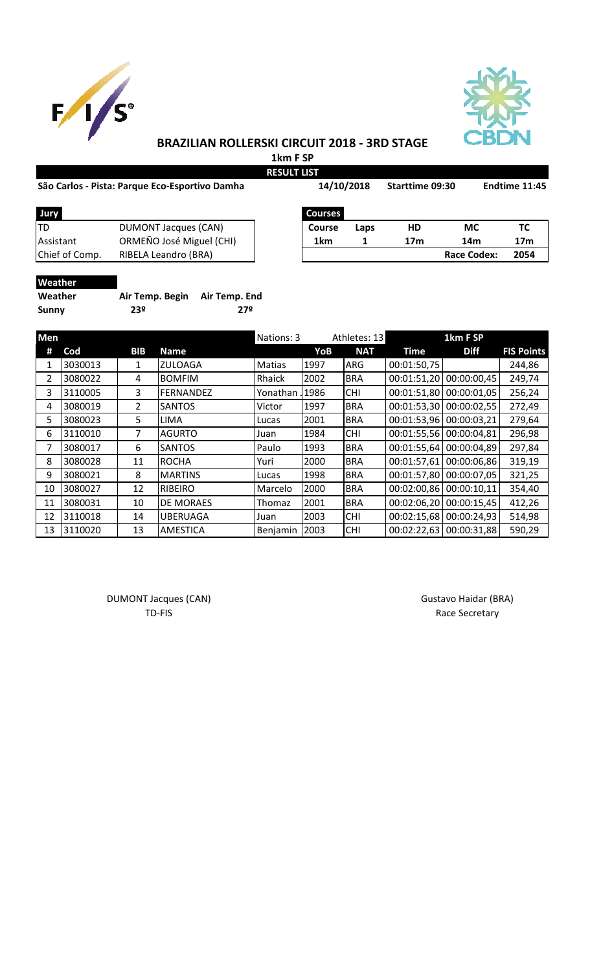



## **BRAZILIAN ROLLERSKI CIRCUIT 2018 - 3RD STAGE**

**1km F SP RESULT LIST**

#### **São Carlos - Pista: Parque Eco-Esportivo Damha**

|                | São Carlos - Pista: Parque Eco-Esportivo Damha | 14/10/2018     |      | <b>Starttime 09:30</b> |                    | Endtime 11:45   |  |
|----------------|------------------------------------------------|----------------|------|------------------------|--------------------|-----------------|--|
| Jury           |                                                | <b>Courses</b> |      |                        |                    |                 |  |
| TD             | <b>DUMONT Jacques (CAN)</b>                    | <b>Course</b>  | Laps | <b>HD</b>              | <b>MC</b>          | тс              |  |
| Assistant      | ORMEÑO José Miguel (CHI)                       | 1km            |      | 17 <sub>m</sub>        | 14m                | 17 <sub>m</sub> |  |
| Chief of Comp. | RIBELA Leandro (BRA)                           |                |      |                        | <b>Race Codex:</b> | 2054            |  |

| Jury           |                             | <b>Courses</b> |
|----------------|-----------------------------|----------------|
| ITD            | <b>DUMONT Jacques (CAN)</b> | <b>Course</b>  |
| Assistant      | ORMEÑO José Miguel (CHI)    | 1km            |
| Chief of Comp. | RIBELA Leandro (BRA)        |                |

**Weather**

| Weather | Air Temp. Begin Air Temp. End |     |
|---------|-------------------------------|-----|
| Sunny   | 23º                           | 27º |

| Men |         |                |                  | Nations: 3    |      | Athletes: 13 |             | 1km F SP    |                   |
|-----|---------|----------------|------------------|---------------|------|--------------|-------------|-------------|-------------------|
| #   | Cod     | <b>BIB</b>     | Name             |               | YoB  | <b>NAT</b>   | <b>Time</b> | <b>Diff</b> | <b>FIS Points</b> |
| 1   | 3030013 | 1              | <b>ZULOAGA</b>   | <b>Matias</b> | 1997 | <b>ARG</b>   | 00:01:50,75 |             | 244,86            |
| 2   | 3080022 | 4              | <b>BOMFIM</b>    | Rhaick        | 2002 | <b>BRA</b>   | 00:01:51,20 | 00:00:00,45 | 249,74            |
| 3   | 3110005 | 3              | FERNANDEZ        | Yonathan      | 1986 | <b>CHI</b>   | 00:01:51,80 | 00:00:01,05 | 256,24            |
| 4   | 3080019 | $\overline{2}$ | <b>SANTOS</b>    | Victor        | 1997 | <b>BRA</b>   | 00:01:53,30 | 00:00:02,55 | 272,49            |
| 5.  | 3080023 | 5.             | <b>LIMA</b>      | Lucas         | 2001 | <b>BRA</b>   | 00:01:53,96 | 00:00:03,21 | 279,64            |
| 6   | 3110010 | 7              | <b>AGURTO</b>    | Juan          | 1984 | <b>CHI</b>   | 00:01:55,56 | 00:00:04,81 | 296,98            |
| 7   | 3080017 | 6              | <b>SANTOS</b>    | Paulo         | 1993 | <b>BRA</b>   | 00:01:55,64 | 00:00:04,89 | 297,84            |
| 8   | 3080028 | 11             | <b>ROCHA</b>     | Yuri          | 2000 | <b>BRA</b>   | 00:01:57,61 | 00:00:06,86 | 319,19            |
| 9   | 3080021 | 8              | <b>MARTINS</b>   | Lucas         | 1998 | <b>BRA</b>   | 00:01:57,80 | 00:00:07,05 | 321,25            |
| 10  | 3080027 | 12             | <b>RIBEIRO</b>   | Marcelo       | 2000 | <b>BRA</b>   | 00:02:00,86 | 00:00:10,11 | 354,40            |
| 11  | 3080031 | 10             | <b>DE MORAES</b> | Thomaz        | 2001 | <b>BRA</b>   | 00:02:06,20 | 00:00:15,45 | 412,26            |
| 12  | 3110018 | 14             | <b>UBERUAGA</b>  | Juan          | 2003 | <b>CHI</b>   | 00:02:15,68 | 00:00:24,93 | 514,98            |
| 13  | 3110020 | 13             | <b>AMESTICA</b>  | Benjamin      | 2003 | <b>CHI</b>   | 00:02:22,63 | 00:00:31,88 | 590,29            |

DUMONT Jacques (CAN) and the control of the control of Gustavo Haidar (BRA) and DUMONT Jacques (CAN)

TD-FIS Race Secretary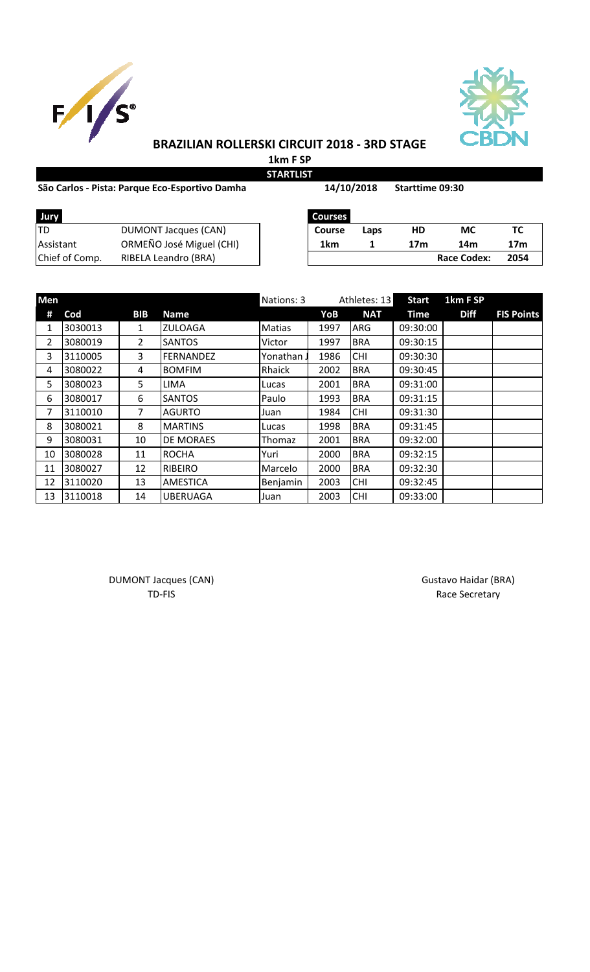



# **BRAZILIAN ROLLERSKI CIRCUIT 2018 - 3RD STAGE**

**1km F SP STARTLIST**

### São Carlos - Pista: Parque Eco-Esportivo Damha **14/10/2018** Starttime 09:30

**14/10/2018**

| Jury           | <b>Courses</b>           |        |      |     |                    |     |
|----------------|--------------------------|--------|------|-----|--------------------|-----|
| TD             | DUMONT Jacques (CAN)     | Course | Laps | HD  | МC                 | ТС  |
| Assistant      | ORMEÑO José Miguel (CHI) | 1km    |      | 17m | 14m                | 17r |
| Chief of Comp. | RIBELA Leandro (BRA)     |        |      |     | <b>Race Codex:</b> | 205 |

| Jury           |                          | <b>Courses</b> |      |     |             |      |
|----------------|--------------------------|----------------|------|-----|-------------|------|
| TD             | DUMONT Jacques (CAN)     | <b>Course</b>  | Laps | HD  | МC          |      |
| Assistant      | ORMEÑO José Miguel (CHI) | 1km            |      | 17m | 14m         | 17m  |
| Chief of Comp. | RIBELA Leandro (BRA)     |                |      |     | Race Codex: | 2054 |

| Men |         |            |                  | Nations: 3 |      | Athletes: 13 |             | 1km F SP    |                   |
|-----|---------|------------|------------------|------------|------|--------------|-------------|-------------|-------------------|
| #   | Cod     | <b>BIB</b> | <b>Name</b>      |            | YoB  | <b>NAT</b>   | <b>Time</b> | <b>Diff</b> | <b>FIS Points</b> |
| 1   | 3030013 | 1          | <b>ZULOAGA</b>   | Matias     | 1997 | <b>ARG</b>   | 09:30:00    |             |                   |
| 2   | 3080019 | 2          | <b>SANTOS</b>    | Victor     | 1997 | <b>BRA</b>   | 09:30:15    |             |                   |
| 3   | 3110005 | 3          | FERNANDEZ        | Yonathan.  | 1986 | <b>CHI</b>   | 09:30:30    |             |                   |
| 4   | 3080022 | 4          | <b>BOMFIM</b>    | Rhaick     | 2002 | <b>BRA</b>   | 09:30:45    |             |                   |
| 5   | 3080023 | 5          | <b>LIMA</b>      | Lucas      | 2001 | <b>BRA</b>   | 09:31:00    |             |                   |
| 6   | 3080017 | 6          | <b>SANTOS</b>    | Paulo      | 1993 | <b>BRA</b>   | 09:31:15    |             |                   |
| 7   | 3110010 | 7          | <b>AGURTO</b>    | Juan       | 1984 | <b>CHI</b>   | 09:31:30    |             |                   |
| 8   | 3080021 | 8          | <b>MARTINS</b>   | Lucas      | 1998 | <b>BRA</b>   | 09:31:45    |             |                   |
| 9   | 3080031 | 10         | <b>DE MORAES</b> | Thomaz     | 2001 | <b>BRA</b>   | 09:32:00    |             |                   |
| 10  | 3080028 | 11         | <b>ROCHA</b>     | Yuri       | 2000 | <b>BRA</b>   | 09:32:15    |             |                   |
| 11  | 3080027 | 12         | <b>RIBEIRO</b>   | Marcelo    | 2000 | <b>BRA</b>   | 09:32:30    |             |                   |
| 12  | 3110020 | 13         | <b>AMESTICA</b>  | Benjamin   | 2003 | <b>CHI</b>   | 09:32:45    |             |                   |
| 13  | 3110018 | 14         | <b>UBERUAGA</b>  | Juan       | 2003 | <b>CHI</b>   | 09:33:00    |             |                   |

DUMONT Jacques (CAN) and the contract of the contract of Gustavo Haidar (BRA) and Gustavo Haidar (BRA)

TD-FIS Race Secretary